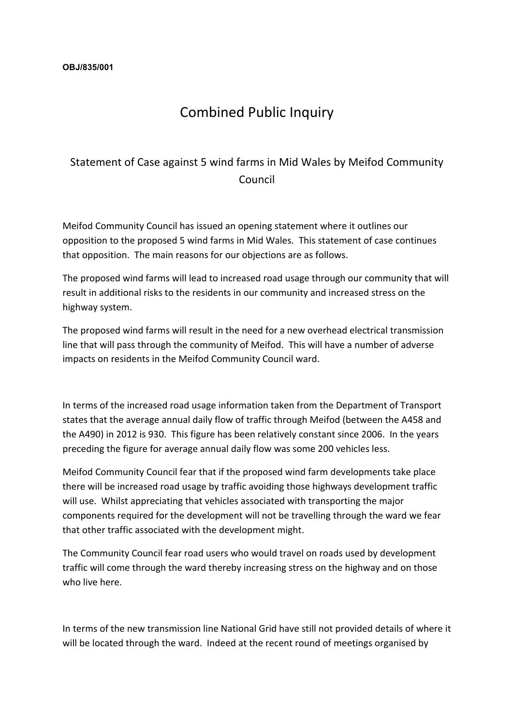## Combined Public Inquiry

## Statement of Case against 5 wind farms in Mid Wales by Meifod Community Council

Meifod Community Council has issued an opening statement where it outlines our opposition to the proposed 5 wind farms in Mid Wales. This statement of case continues that opposition. The main reasons for our objections are as follows.

The proposed wind farms will lead to increased road usage through our community that will result in additional risks to the residents in our community and increased stress on the highway system.

The proposed wind farms will result in the need for a new overhead electrical transmission line that will pass through the community of Meifod. This will have a number of adverse impacts on residents in the Meifod Community Council ward.

In terms of the increased road usage information taken from the Department of Transport states that the average annual daily flow of traffic through Meifod (between the A458 and the A490) in 2012 is 930. This figure has been relatively constant since 2006. In the years preceding the figure for average annual daily flow was some 200 vehicles less.

Meifod Community Council fear that if the proposed wind farm developments take place there will be increased road usage by traffic avoiding those highways development traffic will use. Whilst appreciating that vehicles associated with transporting the major components required for the development will not be travelling through the ward we fear that other traffic associated with the development might.

The Community Council fear road users who would travel on roads used by development traffic will come through the ward thereby increasing stress on the highway and on those who live here.

In terms of the new transmission line National Grid have still not provided details of where it will be located through the ward. Indeed at the recent round of meetings organised by